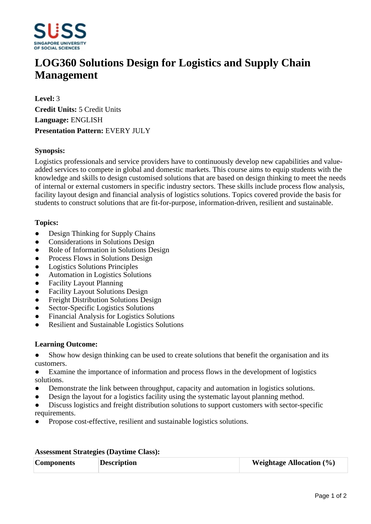

# **LOG360 Solutions Design for Logistics and Supply Chain Management**

**Level:** 3 **Credit Units:** 5 Credit Units **Language:** ENGLISH **Presentation Pattern:** EVERY JULY

## **Synopsis:**

Logistics professionals and service providers have to continuously develop new capabilities and valueadded services to compete in global and domestic markets. This course aims to equip students with the knowledge and skills to design customised solutions that are based on design thinking to meet the needs of internal or external customers in specific industry sectors. These skills include process flow analysis, facility layout design and financial analysis of logistics solutions. Topics covered provide the basis for students to construct solutions that are fit-for-purpose, information-driven, resilient and sustainable.

## **Topics:**

- Design Thinking for Supply Chains
- Considerations in Solutions Design
- Role of Information in Solutions Design
- Process Flows in Solutions Design
- ƔLogistics Solutions Principles
- ƔAutomation in Logistics Solutions
- Facility Layout Planning
- ƔFacility Layout Solutions Design
- Freight Distribution Solutions Design
- Sector-Specific Logistics Solutions
- ƔFinancial Analysis for Logistics Solutions
- ƔResilient and Sustainable Logistics Solutions

#### **Learning Outcome:**

- Show how design thinking can be used to create solutions that benefit the organisation and its customers.
- Examine the importance of information and process flows in the development of logistics solutions.
- Demonstrate the link between throughput, capacity and automation in logistics solutions.
- Design the layout for a logistics facility using the systematic layout planning method.
- Discuss logistics and freight distribution solutions to support customers with sector-specific requirements.
- ƔPropose cost-effective, resilient and sustainable logistics solutions.

#### **Assessment Strategies (Daytime Class):**

| <b>Components</b> | <b>Description</b> | <b>Weightage Allocation</b> $(\%)$ |
|-------------------|--------------------|------------------------------------|
|                   |                    |                                    |